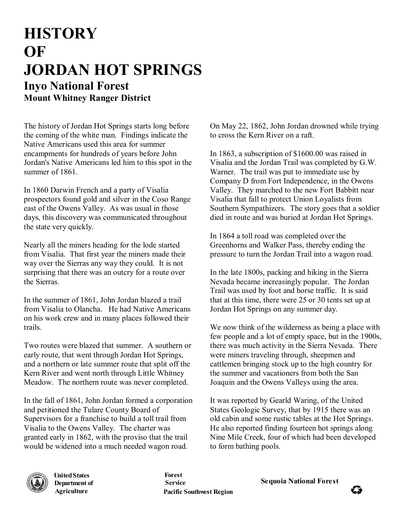## **HISTORY OF JORDAN HOT SPRINGS Inyo National Forest Mount Whitney Ranger District**

The history of Jordan Hot Springs starts long before the coming of the white man. Findings indicate the Native Americans used this area for summer encampments for hundreds of years before John Jordan's Native Americans led him to this spot in the summer of 1861

In 1860 Darwin French and a party of Visalia prospectors found gold and silver in the Coso Range east of the Owens Valley. As was usual in those days, this discovery was communicated throughout the state very quickly.

Nearly all the miners heading for the lode started from Visalia. That first year the miners made their way over the Sierras any way they could. It is not surprising that there was an outcry for a route over the Sierras.

In the summer of 1861, John Jordan blazed a trail from Visalia to Olancha. He had Native Americans on his work crew and in many places followed their trails.

Two routes were blazed that summer. A southern or early route, that went through Jordan Hot Springs, and a northern or late summer route that split off the Kern River and went north through Little Whitney Meadow. The northern route was never completed.

In the fall of 1861, John Jordan formed a corporation and petitioned the Tulare County Board of Supervisors for a franchise to build a toll trail from Visalia to the Owens Valley. The charter was granted early in 1862, with the proviso that the trail would be widened into a much needed wagon road.

On May 22, 1862, John Jordan drowned while trying to cross the Kern River on a raft.

In 1863, a subscription of \$1600.00 was raised in Visalia and the Jordan Trail was completed by G.W. Warner. The trail was put to immediate use by Company D from Fort Independence, in the Owens Valley. They marched to the new Fort Babbitt near Visalia that fall to protect Union Loyalists from Southern Sympathizers. The story goes that a soldier died in route and was buried at Jordan Hot Springs.

In 1864 a toll road was completed over the Greenhorns and Walker Pass, thereby ending the pressure to turn the Jordan Trail into a wagon road.

In the late 1800s, packing and hiking in the Sierra Nevada became increasingly popular. The Jordan Trail was used by foot and horse traffic. It is said that at this time, there were 25 or 30 tents set up at Jordan Hot Springs on any summer day.

We now think of the wilderness as being a place with few people and a lot of empty space, but in the 1900s, there was much activity in the Sierra Nevada. There were miners traveling through, sheepmen and cattlemen bringing stock up to the high country for the summer and vacationers from both the San Joaquin and the Owens Valleys using the area.

It was reported by Gearld Waring, of the United States Geologic Survey, that by 1915 there was an old cabin and some rustic tables at the Hot Springs. He also reported finding fourteen hot springs along Nine Mile Creek, four of which had been developed to form bathing pools.



**Agriculture United States Department of**

**Forest Pacific Southwest Region** 

**Service Sequoia National Forest**